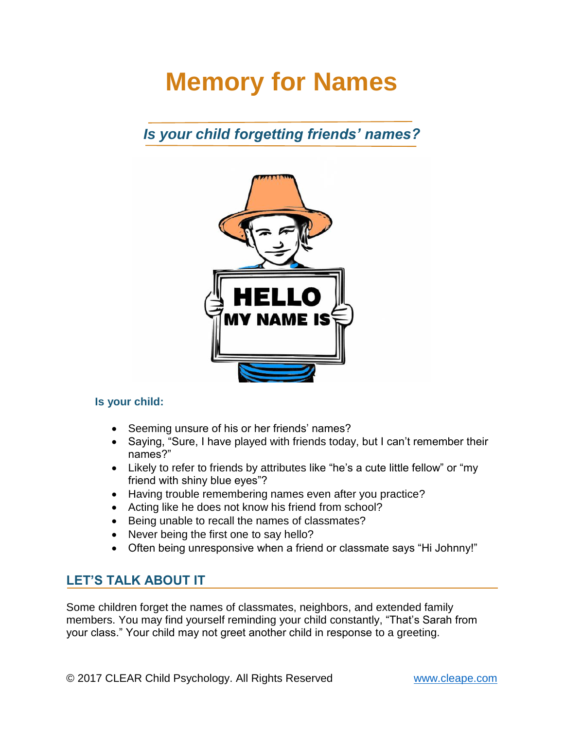# **Memory for Names**

## *Is your child forgetting friends' names?*



#### Is your child:

- Seeming unsure of his or her friends' names?
- Saying, "Sure, I have played with friends today, but I can't remember their names?"
- Likely to refer to friends by attributes like "he's a cute little fellow" or "my friend with shiny blue eyes"?
- Having trouble remembering names even after you practice?
- Acting like he does not know his friend from school?
- Being unable to recall the names of classmates?
- Never being the first one to say hello?
- Often being unresponsive when a friend or classmate says "Hi Johnny!"

#### **LET'S TALK ABOUT IT**

Some children forget the names of classmates, neighbors, and extended family members. You may find yourself reminding your child constantly, "That's Sarah from your class." Your child may not greet another child in response to a greeting.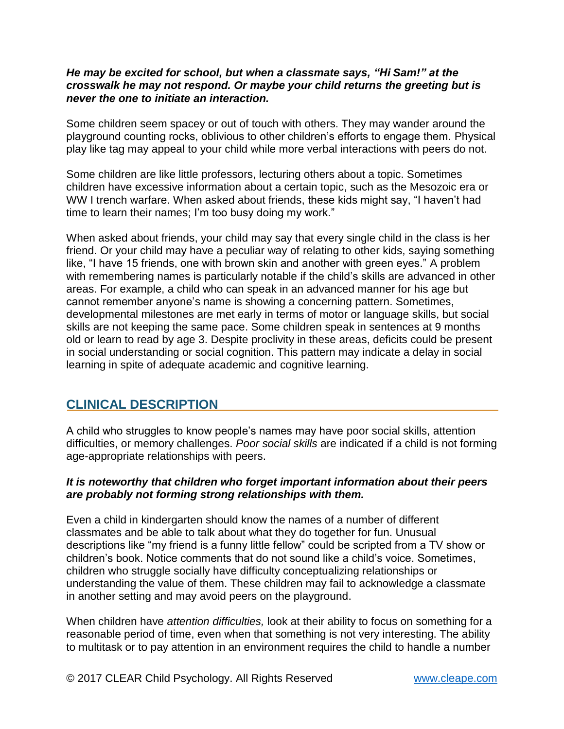#### *He may be excited for school, but when a classmate says, "Hi Sam!" at the crosswalk he may not respond. Or maybe your child returns the greeting but is never the one to initiate an interaction.*

Some children seem spacey or out of touch with others. They may wander around the playground counting rocks, oblivious to other children's efforts to engage them. Physical play like tag may appeal to your child while more verbal interactions with peers do not.

Some children are like little professors, lecturing others about a topic. Sometimes children have excessive information about a certain topic, such as the Mesozoic era or WW I trench warfare. When asked about friends, these kids might say, "I haven't had time to learn their names; I'm too busy doing my work."

When asked about friends, your child may say that every single child in the class is her friend. Or your child may have a peculiar way of relating to other kids, saying something like, "I have 15 friends, one with brown skin and another with green eyes." A problem with remembering names is particularly notable if the child's skills are advanced in other areas. For example, a child who can speak in an advanced manner for his age but cannot remember anyone's name is showing a concerning pattern. Sometimes, developmental milestones are met early in terms of motor or language skills, but social skills are not keeping the same pace. Some children speak in sentences at 9 months old or learn to read by age 3. Despite proclivity in these areas, deficits could be present in social understanding or social cognition. This pattern may indicate a delay in social learning in spite of adequate academic and cognitive learning.

#### **CLINICAL DESCRIPTION**

A child who struggles to know people's names may have poor social skills, attention difficulties, or memory challenges. *Poor social skills* are indicated if a child is not forming age-appropriate relationships with peers.

#### *It is noteworthy that children who forget important information about their peers are probably not forming strong relationships with them.*

Even a child in kindergarten should know the names of a number of different classmates and be able to talk about what they do together for fun. Unusual descriptions like "my friend is a funny little fellow" could be scripted from a TV show or children's book. Notice comments that do not sound like a child's voice. Sometimes, children who struggle socially have difficulty conceptualizing relationships or understanding the value of them. These children may fail to acknowledge a classmate in another setting and may avoid peers on the playground.

When children have *attention difficulties,* look at their ability to focus on something for a reasonable period of time, even when that something is not very interesting. The ability to multitask or to pay attention in an environment requires the child to handle a number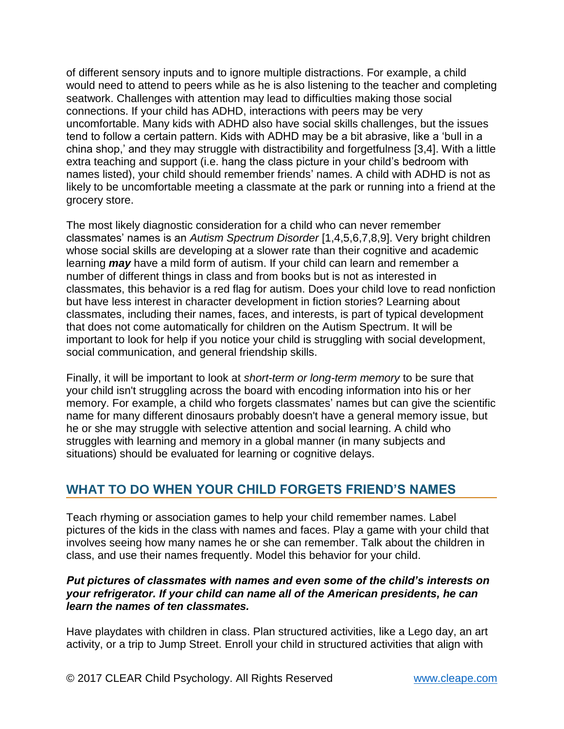of different sensory inputs and to ignore multiple distractions. For example, a child would need to attend to peers while as he is also listening to the teacher and completing seatwork. Challenges with attention may lead to difficulties making those social connections. If your child has ADHD, interactions with peers may be very uncomfortable. Many kids with ADHD also have social skills challenges, but the issues tend to follow a certain pattern. Kids with ADHD may be a bit abrasive, like a 'bull in a china shop,' and they may struggle with distractibility and forgetfulness [3,4]. With a little extra teaching and support (i.e. hang the class picture in your child's bedroom with names listed), your child should remember friends' names. A child with ADHD is not as likely to be uncomfortable meeting a classmate at the park or running into a friend at the grocery store.

The most likely diagnostic consideration for a child who can never remember classmates' names is an *Autism Spectrum Disorder* [1,4,5,6,7,8,9]. Very bright children whose social skills are developing at a slower rate than their cognitive and academic learning *may* have a mild form of autism. If your child can learn and remember a number of different things in class and from books but is not as interested in classmates, this behavior is a red flag for autism. Does your child love to read nonfiction but have less interest in character development in fiction stories? Learning about classmates, including their names, faces, and interests, is part of typical development that does not come automatically for children on the Autism Spectrum. It will be important to look for help if you notice your child is struggling with social development, social communication, and general friendship skills.

Finally, it will be important to look at *short-term or long-term memory* to be sure that your child isn't struggling across the board with encoding information into his or her memory. For example, a child who forgets classmates' names but can give the scientific name for many different dinosaurs probably doesn't have a general memory issue, but he or she may struggle with selective attention and social learning. A child who struggles with learning and memory in a global manner (in many subjects and situations) should be evaluated for learning or cognitive delays.

## **WHAT TO DO WHEN YOUR CHILD FORGETS FRIEND'S NAMES**

Teach rhyming or association games to help your child remember names. Label pictures of the kids in the class with names and faces. Play a game with your child that involves seeing how many names he or she can remember. Talk about the children in class, and use their names frequently. Model this behavior for your child.

#### *Put pictures of classmates with names and even some of the child's interests on your refrigerator. If your child can name all of the American presidents, he can learn the names of ten classmates.*

Have playdates with children in class. Plan structured activities, like a Lego day, an art activity, or a trip to Jump Street. Enroll your child in structured activities that align with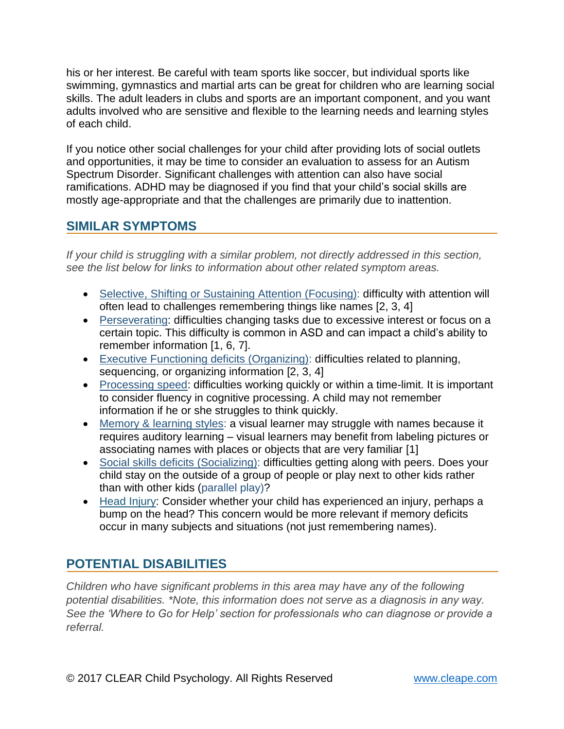his or her interest. Be careful with team sports like soccer, but individual sports like swimming, gymnastics and martial arts can be great for children who are learning social skills. The adult leaders in clubs and sports are an important component, and you want adults involved who are sensitive and flexible to the learning needs and learning styles of each child.

If you notice other social challenges for your child after providing lots of social outlets and opportunities, it may be time to consider an evaluation to assess for an Autism Spectrum Disorder. Significant challenges with attention can also have social ramifications. ADHD may be diagnosed if you find that your child's social skills are mostly age-appropriate and that the challenges are primarily due to inattention.

#### **SIMILAR SYMPTOMS**

*If your child is struggling with a similar problem, not directly addressed in this section, see the list below for links to information about other related symptom areas.*

- Selective, Shifting or Sustaining Attention (Focusing): difficulty with attention will often lead to challenges remembering things like names [2, 3, 4]
- Perseverating: difficulties changing tasks due to excessive interest or focus on a certain topic. This difficulty is common in ASD and can impact a child's ability to remember information [1, 6, 7].
- Executive Functioning deficits (Organizing): difficulties related to planning, sequencing, or organizing information [2, 3, 4]
- Processing speed: difficulties working quickly or within a time-limit. It is important to consider fluency in cognitive processing. A child may not remember information if he or she struggles to think quickly.
- Memory & learning styles: a visual learner may struggle with names because it requires auditory learning – visual learners may benefit from labeling pictures or associating names with places or objects that are very familiar [1]
- Social skills deficits (Socializing): difficulties getting along with peers. Does your child stay on the outside of a group of people or play next to other kids rather than with other kids (parallel play)?
- Head Injury: Consider whether your child has experienced an injury, perhaps a bump on the head? This concern would be more relevant if memory deficits occur in many subjects and situations (not just remembering names).

## **POTENTIAL DISABILITIES**

*Children who have significant problems in this area may have any of the following potential disabilities. \*Note, this information does not serve as a diagnosis in any way. See the 'Where to Go for Help' section for professionals who can diagnose or provide a referral.*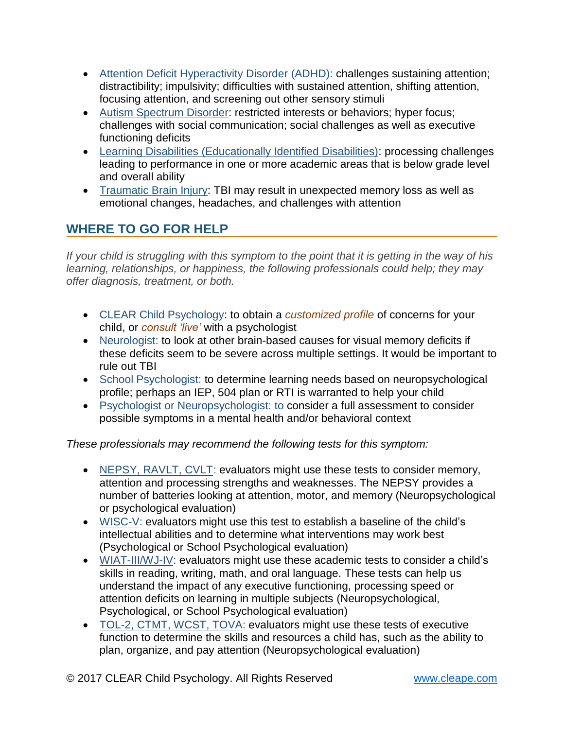- Attention Deficit Hyperactivity Disorder (ADHD): challenges sustaining attention; distractibility; impulsivity; difficulties with sustained attention, shifting attention, focusing attention, and screening out other sensory stimuli
- Autism Spectrum Disorder: restricted interests or behaviors; hyper focus; challenges with social communication; social challenges as well as executive functioning deficits
- Learning Disabilities (Educationally Identified Disabilities): processing challenges leading to performance in one or more academic areas that is below grade level and overall ability
- Traumatic Brain Injury: TBI may result in unexpected memory loss as well as emotional changes, headaches, and challenges with attention

## **WHERE TO GO FOR HELP**

*If your child is struggling with this symptom to the point that it is getting in the way of his learning, relationships, or happiness, the following professionals could help; they may offer diagnosis, treatment, or both.*

- CLEAR Child Psychology: to obtain a *customized profile* of concerns for your child, or *consult 'live'* with a psychologist
- Neurologist: to look at other brain-based causes for visual memory deficits if these deficits seem to be severe across multiple settings. It would be important to rule out TBI
- School Psychologist: to determine learning needs based on neuropsychological profile; perhaps an IEP, 504 plan or RTI is warranted to help your child
- Psychologist or Neuropsychologist: to consider a full assessment to consider possible symptoms in a mental health and/or behavioral context

*These professionals may recommend the following tests for this symptom:*

- NEPSY, RAVLT, CVLT: evaluators might use these tests to consider memory, attention and processing strengths and weaknesses. The NEPSY provides a number of batteries looking at attention, motor, and memory (Neuropsychological or psychological evaluation)
- WISC-V: evaluators might use this test to establish a baseline of the child's intellectual abilities and to determine what interventions may work best (Psychological or School Psychological evaluation)
- WIAT-III/WJ-IV: evaluators might use these academic tests to consider a child's skills in reading, writing, math, and oral language. These tests can help us understand the impact of any executive functioning, processing speed or attention deficits on learning in multiple subjects (Neuropsychological, Psychological, or School Psychological evaluation)
- TOL-2, CTMT, WCST, TOVA: evaluators might use these tests of executive function to determine the skills and resources a child has, such as the ability to plan, organize, and pay attention (Neuropsychological evaluation)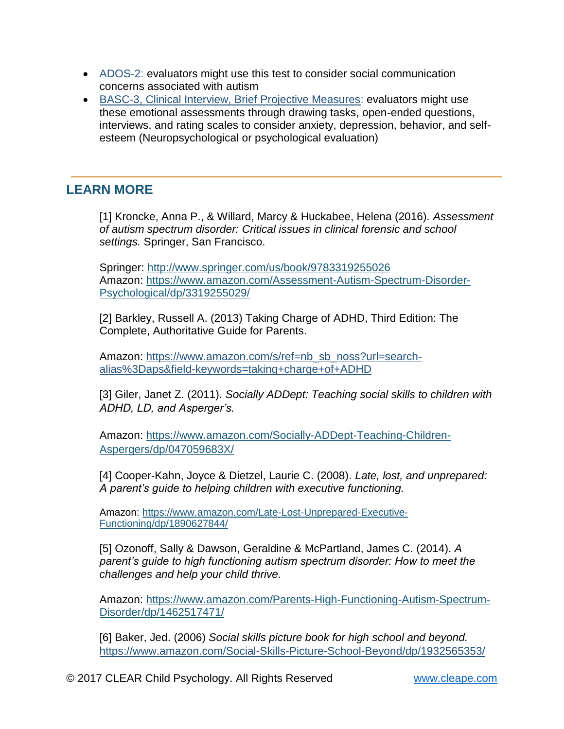- ADOS-2: evaluators might use this test to consider social communication concerns associated with autism
- BASC-3, Clinical Interview, Brief Projective Measures: evaluators might use these emotional assessments through drawing tasks, open-ended questions, interviews, and rating scales to consider anxiety, depression, behavior, and selfesteem (Neuropsychological or psychological evaluation)

## **LEARN MORE**

[1] Kroncke, Anna P., & Willard, Marcy & Huckabee, Helena (2016). *Assessment of autism spectrum disorder: Critical issues in clinical forensic and school settings.* Springer, San Francisco.

Springer:<http://www.springer.com/us/book/9783319255026> Amazon: [https://www.amazon.com/Assessment-Autism-Spectrum-Disorder-](https://www.amazon.com/Assessment-Autism-Spectrum-Disorder-Psychological/dp/3319255029/)[Psychological/dp/3319255029/](https://www.amazon.com/Assessment-Autism-Spectrum-Disorder-Psychological/dp/3319255029/)

[2] Barkley, Russell A. (2013) Taking Charge of ADHD, Third Edition: The Complete, Authoritative Guide for Parents.

Amazon: [https://www.amazon.com/s/ref=nb\\_sb\\_noss?url=search](https://www.amazon.com/s/ref=nb_sb_noss?url=search-alias%3Daps&field-keywords=taking+charge+of+ADHD)[alias%3Daps&field-keywords=taking+charge+of+ADHD](https://www.amazon.com/s/ref=nb_sb_noss?url=search-alias%3Daps&field-keywords=taking+charge+of+ADHD)

[3] Giler, Janet Z. (2011). *Socially ADDept: Teaching social skills to children with ADHD, LD, and Asperger's.*

Amazon: [https://www.amazon.com/Socially-ADDept-Teaching-Children-](https://www.amazon.com/Socially-ADDept-Teaching-Children-Aspergers/dp/047059683X/)[Aspergers/dp/047059683X/](https://www.amazon.com/Socially-ADDept-Teaching-Children-Aspergers/dp/047059683X/)

[4] Cooper-Kahn, Joyce & Dietzel, Laurie C. (2008). *Late, lost, and unprepared: A parent's guide to helping children with executive functioning.*

Amazon: [https://www.amazon.com/Late-Lost-Unprepared-Executive-](https://www.amazon.com/Late-Lost-Unprepared-Executive-Functioning/dp/1890627844/)[Functioning/dp/1890627844/](https://www.amazon.com/Late-Lost-Unprepared-Executive-Functioning/dp/1890627844/)

[5] Ozonoff, Sally & Dawson, Geraldine & McPartland, James C. (2014). *A parent's guide to high functioning autism spectrum disorder: How to meet the challenges and help your child thrive.*

Amazon: [https://www.amazon.com/Parents-High-Functioning-Autism-Spectrum-](https://www.amazon.com/Parents-High-Functioning-Autism-Spectrum-Disorder/dp/1462517471/ref=pd_sim_14_3?ie=UTF8&pd_rd_i=1462517471&pd_rd_r=Y9GMQEGFQH8TYX280DPN&pd_rd_w=3NaG3&pd_rd_wg=966lH&psc=1&refRID=Y9GMQEGFQH8TYX280DPN)[Disorder/dp/1462517471/](https://www.amazon.com/Parents-High-Functioning-Autism-Spectrum-Disorder/dp/1462517471/ref=pd_sim_14_3?ie=UTF8&pd_rd_i=1462517471&pd_rd_r=Y9GMQEGFQH8TYX280DPN&pd_rd_w=3NaG3&pd_rd_wg=966lH&psc=1&refRID=Y9GMQEGFQH8TYX280DPN) 

[6] Baker, Jed. (2006) *Social skills picture book for high school and beyond.*  <https://www.amazon.com/Social-Skills-Picture-School-Beyond/dp/1932565353/>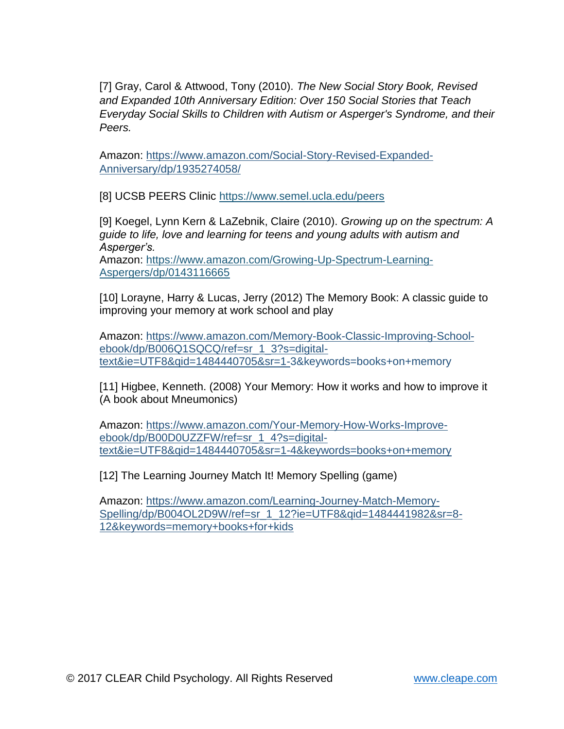[7] Gray, Carol & Attwood, Tony (2010). *The New Social Story Book, Revised and Expanded 10th Anniversary Edition: Over 150 Social Stories that Teach Everyday Social Skills to Children with Autism or Asperger's Syndrome, and their Peers.*

Amazon: [https://www.amazon.com/Social-Story-Revised-Expanded-](https://www.amazon.com/Social-Story-Revised-Expanded-Anniversary/dp/1935274058/)[Anniversary/dp/1935274058/](https://www.amazon.com/Social-Story-Revised-Expanded-Anniversary/dp/1935274058/)

[8] UCSB PEERS Clinic<https://www.semel.ucla.edu/peers>

[9] Koegel, Lynn Kern & LaZebnik, Claire (2010). *Growing up on the spectrum: A guide to life, love and learning for teens and young adults with autism and Asperger's.*

Amazon: [https://www.amazon.com/Growing-Up-Spectrum-Learning-](https://www.amazon.com/Growing-Up-Spectrum-Learning-Aspergers/dp/0143116665)[Aspergers/dp/0143116665](https://www.amazon.com/Growing-Up-Spectrum-Learning-Aspergers/dp/0143116665)

[10] Lorayne, Harry & Lucas, Jerry (2012) The Memory Book: A classic guide to improving your memory at work school and play

Amazon: [https://www.amazon.com/Memory-Book-Classic-Improving-School](https://www.amazon.com/Memory-Book-Classic-Improving-School-ebook/dp/B006Q1SQCQ/ref=sr_1_3?s=digital-text&ie=UTF8&qid=1484440705&sr=1-)[ebook/dp/B006Q1SQCQ/ref=sr\\_1\\_3?s=digital](https://www.amazon.com/Memory-Book-Classic-Improving-School-ebook/dp/B006Q1SQCQ/ref=sr_1_3?s=digital-text&ie=UTF8&qid=1484440705&sr=1-)[text&ie=UTF8&qid=1484440705&sr=1-3](https://www.amazon.com/Memory-Book-Classic-Improving-School-ebook/dp/B006Q1SQCQ/ref=sr_1_3?s=digital-text&ie=UTF8&qid=1484440705&sr=1-)&keywords=books+on+memory

[11] Higbee, Kenneth. (2008) Your Memory: How it works and how to improve it (A book about Mneumonics)

Amazon: [https://www.amazon.com/Your-Memory-How-Works-Improve](https://www.amazon.com/Your-Memory-How-Works-Improve-ebook/dp/B00D0UZZFW/ref=sr_1_4?s=digital-text&ie=UTF8&qid=1484440705&sr=1-4&keywords=books+on+memory)[ebook/dp/B00D0UZZFW/ref=sr\\_1\\_4?s=digital](https://www.amazon.com/Your-Memory-How-Works-Improve-ebook/dp/B00D0UZZFW/ref=sr_1_4?s=digital-text&ie=UTF8&qid=1484440705&sr=1-4&keywords=books+on+memory)[text&ie=UTF8&qid=1484440705&sr=1-4&keywords=books+on+memory](https://www.amazon.com/Your-Memory-How-Works-Improve-ebook/dp/B00D0UZZFW/ref=sr_1_4?s=digital-text&ie=UTF8&qid=1484440705&sr=1-4&keywords=books+on+memory)

[12] The Learning Journey Match It! Memory Spelling (game)

Amazon: [https://www.amazon.com/Learning-Journey-Match-Memory-](https://www.amazon.com/Learning-Journey-Match-Memory-Spelling/dp/B004OL2D9W/ref=sr_1_12?ie=UTF8&qid=1484441982&sr=8-12&keywords=memory+books+for+kids)[Spelling/dp/B004OL2D9W/ref=sr\\_1\\_12?ie=UTF8&qid=1484441982&sr=8-](https://www.amazon.com/Learning-Journey-Match-Memory-Spelling/dp/B004OL2D9W/ref=sr_1_12?ie=UTF8&qid=1484441982&sr=8-12&keywords=memory+books+for+kids) [12&keywords=memory+books+for+kids](https://www.amazon.com/Learning-Journey-Match-Memory-Spelling/dp/B004OL2D9W/ref=sr_1_12?ie=UTF8&qid=1484441982&sr=8-12&keywords=memory+books+for+kids)